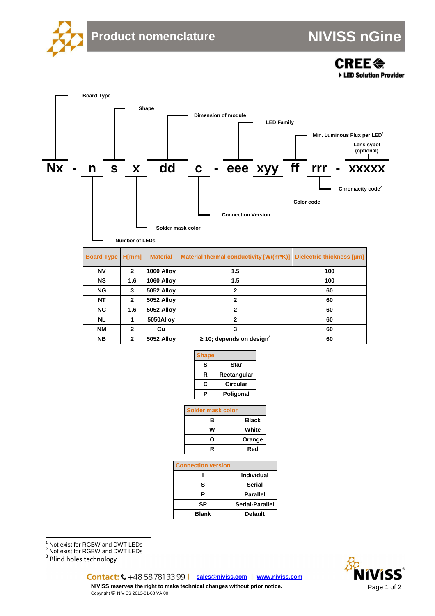

**CREE<sup>«</sup>** ED Solution Provider



| <b>Board Type H[mm]</b> |              | <b>Material</b>   | Material thermal conductivity [W/(m*K)]   | Dielectric thickness [µm] |
|-------------------------|--------------|-------------------|-------------------------------------------|---------------------------|
| <b>NV</b>               | $\mathbf{2}$ | 1060 Alloy        | 1.5                                       | 100                       |
| <b>NS</b>               | 1.6          | 1060 Alloy        | 1.5                                       | 100                       |
| <b>NG</b>               | 3            | <b>5052 Alloy</b> | $\mathbf{2}$                              | 60                        |
| <b>NT</b>               | $\mathbf{2}$ | <b>5052 Alloy</b> | 2                                         | 60                        |
| <b>NC</b>               | 1.6          | <b>5052 Alloy</b> | 2                                         | 60                        |
| <b>NL</b>               |              | 5050Alloy         | 2                                         | 60                        |
| <b>NM</b>               | 2            | Cu                | 3                                         | 60                        |
| <b>NB</b>               | 2            | <b>5052 Alloy</b> | $\geq$ 10; depends on design <sup>3</sup> | 60                        |

| <b>Shape</b> |             |
|--------------|-------------|
| s            | Star        |
| R            | Rectangular |
| c            | Circular    |
|              | Poligonal   |

| Solder mask color |              |
|-------------------|--------------|
| в                 | <b>Black</b> |
| w                 | White        |
| ი                 | Orange       |
| R                 | Red          |

| <b>Connection version</b> |                   |
|---------------------------|-------------------|
|                           | <b>Individual</b> |
| s                         | <b>Serial</b>     |
| Р                         | <b>Parallel</b>   |
| SP                        | Serial-Parallel   |
| <b>Blank</b>              | <b>Default</b>    |

<sup>1</sup> Not exist for RGBW and DWT LEDs<br><sup>2</sup> Not exist for RGBW and DWT LEDs

<sup>3</sup> Blind holes technology



**sales@niviss.com www.niviss.com NIVISS reserves the right to make technical changes without prior notice.**

Copyright © NIVISS 2013-01-08 VA 00